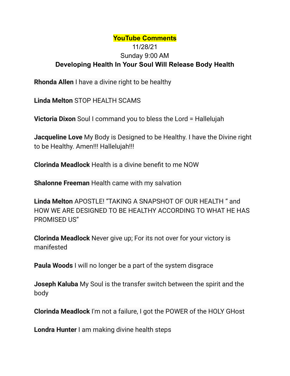## **YouTube Comments** 11/28/21 Sunday 9:00 AM **Developing Health In Your Soul Will Release Body Health**

**Rhonda Allen** I have a divine right to be healthy

**Linda Melton** STOP HEALTH SCAMS

**Victoria Dixon** Soul I command you to bless the Lord = Hallelujah

**Jacqueline Love** My Body is Designed to be Healthy. I have the Divine right to be Healthy. Amen!!! Hallelujah!!!

**Clorinda Meadlock** Health is a divine benefit to me NOW

**Shalonne Freeman** Health came with my salvation

**Linda Melton** APOSTLE! "TAKING A SNAPSHOT OF OUR HEALTH " and HOW WE ARE DESIGNED TO BE HEALTHY ACCORDING TO WHAT HE HAS PROMISED US"

**Clorinda Meadlock** Never give up; For its not over for your victory is manifested

**Paula Woods** I will no longer be a part of the system disgrace

**Joseph Kaluba** My Soul is the transfer switch between the spirit and the body

**Clorinda Meadlock** I'm not a failure, I got the POWER of the HOLY GHost

**Londra Hunter** I am making divine health steps